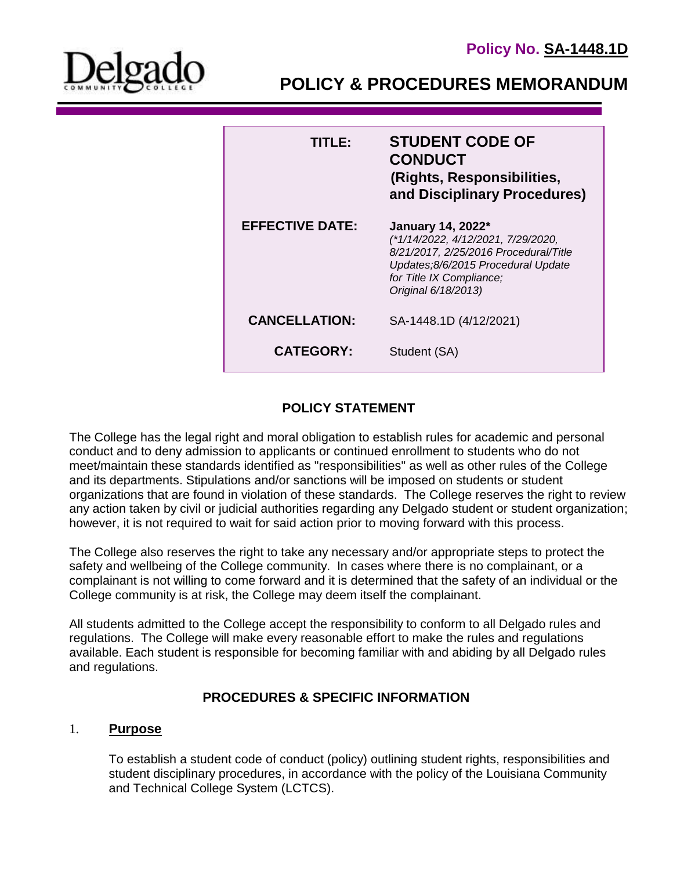

**POLICY & PROCEDURES MEMORANDUM**

| TITI F•                | <b>STUDENT CODE OF</b><br><b>CONDUCT</b><br>(Rights, Responsibilities,<br>and Disciplinary Procedures)                                                                                    |
|------------------------|-------------------------------------------------------------------------------------------------------------------------------------------------------------------------------------------|
| <b>EFFECTIVE DATE:</b> | January 14, 2022*<br>(*1/14/2022, 4/12/2021, 7/29/2020,<br>8/21/2017, 2/25/2016 Procedural/Title<br>Updates;8/6/2015 Procedural Update<br>for Title IX Compliance;<br>Original 6/18/2013) |
| <b>CANCELLATION:</b>   | SA-1448.1D (4/12/2021)                                                                                                                                                                    |
| <b>CATEGORY:</b>       | Student (SA)                                                                                                                                                                              |

# **POLICY STATEMENT**

The College has the legal right and moral obligation to establish rules for academic and personal conduct and to deny admission to applicants or continued enrollment to students who do not meet/maintain these standards identified as "responsibilities" as well as other rules of the College and its departments. Stipulations and/or sanctions will be imposed on students or student organizations that are found in violation of these standards. The College reserves the right to review any action taken by civil or judicial authorities regarding any Delgado student or student organization; however, it is not required to wait for said action prior to moving forward with this process.

The College also reserves the right to take any necessary and/or appropriate steps to protect the safety and wellbeing of the College community. In cases where there is no complainant, or a complainant is not willing to come forward and it is determined that the safety of an individual or the College community is at risk, the College may deem itself the complainant.

All students admitted to the College accept the responsibility to conform to all Delgado rules and regulations. The College will make every reasonable effort to make the rules and regulations available. Each student is responsible for becoming familiar with and abiding by all Delgado rules and regulations.

### **PROCEDURES & SPECIFIC INFORMATION**

### 1. **Purpose**

To establish a student code of conduct (policy) outlining student rights, responsibilities and student disciplinary procedures, in accordance with the policy of the Louisiana Community and Technical College System (LCTCS).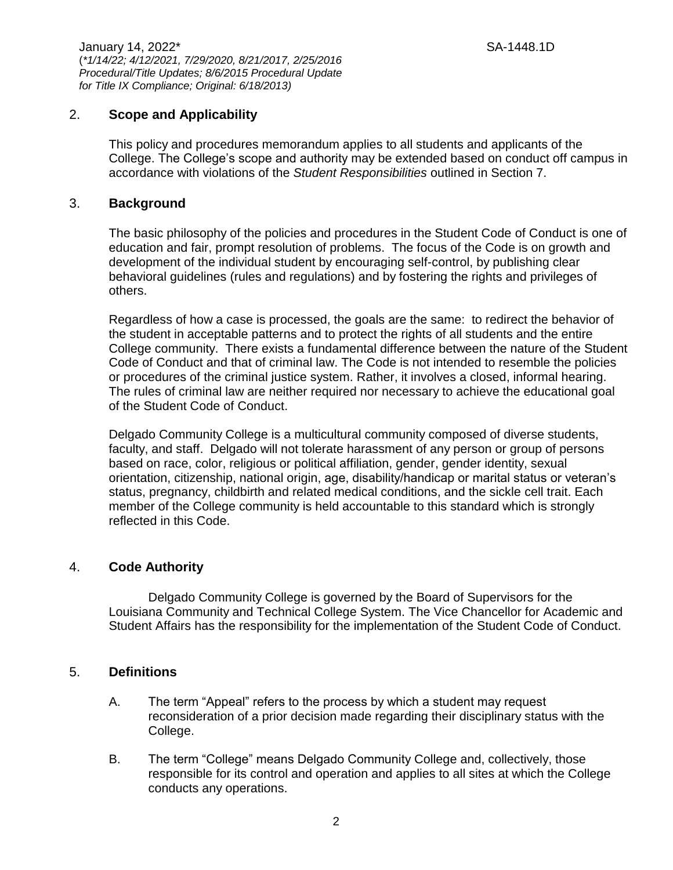January 14, 2022\* SA-1448.1D (*\*1/14/22; 4/12/2021, 7/29/2020, 8/21/2017, 2/25/2016 Procedural/Title Updates; 8/6/2015 Procedural Update for Title IX Compliance; Original: 6/18/2013)*

## 2. **Scope and Applicability**

This policy and procedures memorandum applies to all students and applicants of the College. The College's scope and authority may be extended based on conduct off campus in accordance with violations of the *Student Responsibilities* outlined in Section 7.

#### 3. **Background**

The basic philosophy of the policies and procedures in the Student Code of Conduct is one of education and fair, prompt resolution of problems. The focus of the Code is on growth and development of the individual student by encouraging self-control, by publishing clear behavioral guidelines (rules and regulations) and by fostering the rights and privileges of others.

Regardless of how a case is processed, the goals are the same: to redirect the behavior of the student in acceptable patterns and to protect the rights of all students and the entire College community. There exists a fundamental difference between the nature of the Student Code of Conduct and that of criminal law. The Code is not intended to resemble the policies or procedures of the criminal justice system. Rather, it involves a closed, informal hearing. The rules of criminal law are neither required nor necessary to achieve the educational goal of the Student Code of Conduct.

Delgado Community College is a multicultural community composed of diverse students, faculty, and staff. Delgado will not tolerate harassment of any person or group of persons based on race, color, religious or political affiliation, gender, gender identity, sexual orientation, citizenship, national origin, age, disability/handicap or marital status or veteran's status, pregnancy, childbirth and related medical conditions, and the sickle cell trait. Each member of the College community is held accountable to this standard which is strongly reflected in this Code.

### 4. **Code Authority**

Delgado Community College is governed by the Board of Supervisors for the Louisiana Community and Technical College System. The Vice Chancellor for Academic and Student Affairs has the responsibility for the implementation of the Student Code of Conduct.

### 5. **Definitions**

- A. The term "Appeal" refers to the process by which a student may request reconsideration of a prior decision made regarding their disciplinary status with the College.
- B. The term "College" means Delgado Community College and, collectively, those responsible for its control and operation and applies to all sites at which the College conducts any operations.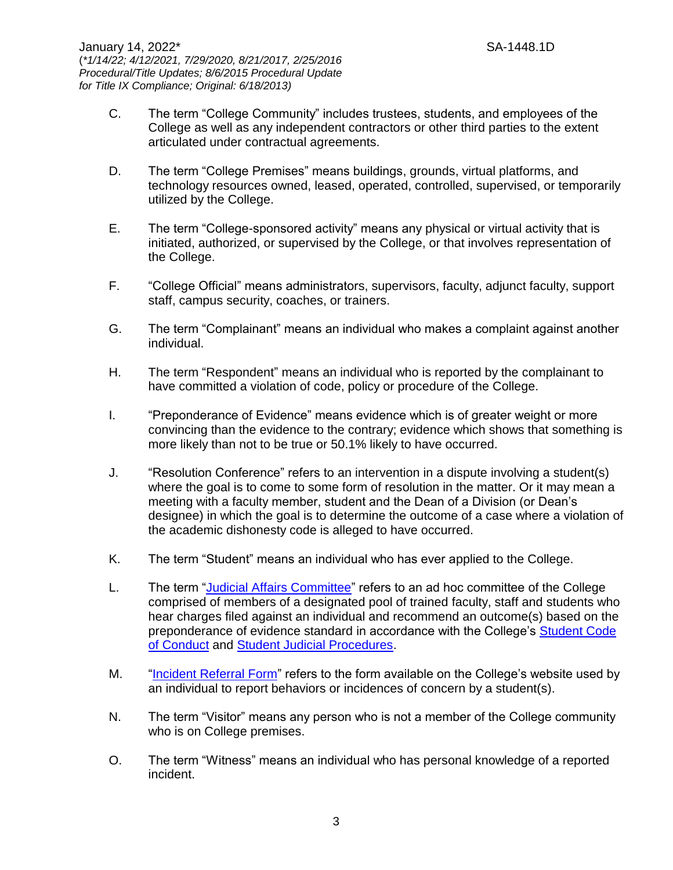- C. The term "College Community" includes trustees, students, and employees of the College as well as any independent contractors or other third parties to the extent articulated under contractual agreements.
- D. The term "College Premises" means buildings, grounds, virtual platforms, and technology resources owned, leased, operated, controlled, supervised, or temporarily utilized by the College.
- E. The term "College-sponsored activity" means any physical or virtual activity that is initiated, authorized, or supervised by the College, or that involves representation of the College.
- F. "College Official" means administrators, supervisors, faculty, adjunct faculty, support staff, campus security, coaches, or trainers.
- G. The term "Complainant" means an individual who makes a complaint against another individual.
- H. The term "Respondent" means an individual who is reported by the complainant to have committed a violation of code, policy or procedure of the College.
- I. "Preponderance of Evidence" means evidence which is of greater weight or more convincing than the evidence to the contrary; evidence which shows that something is more likely than not to be true or 50.1% likely to have occurred.
- J. "Resolution Conference" refers to an intervention in a dispute involving a student(s) where the goal is to come to some form of resolution in the matter. Or it may mean a meeting with a faculty member, student and the Dean of a Division (or Dean's designee) in which the goal is to determine the outcome of a case where a violation of the academic dishonesty code is alleged to have occurred.
- K. The term "Student" means an individual who has ever applied to the College.
- L. The term ["Judicial Affairs Committee"](http://docushare3.dcc.edu/docushare/dsweb/Get/Document-2001) refers to an ad hoc committee of the College comprised of members of a designated pool of trained faculty, staff and students who hear charges filed against an individual and recommend an outcome(s) based on the preponderance of evidence standard in accordance with the College's [Student Code](http://docushare3.dcc.edu/docushare/dsweb/Get/Document-80)  [of Conduct](http://docushare3.dcc.edu/docushare/dsweb/Get/Document-80) and [Student Judicial Procedures.](http://docushare3.dcc.edu/docushare/dsweb/Get/Document-4958)
- M. ["Incident Referral Form"](https://cm.maxient.com/reportingform.php?LouisianaCTCS&layout_id=5) refers to the form available on the College's website used by an individual to report behaviors or incidences of concern by a student(s).
- N. The term "Visitor" means any person who is not a member of the College community who is on College premises.
- O. The term "Witness" means an individual who has personal knowledge of a reported incident.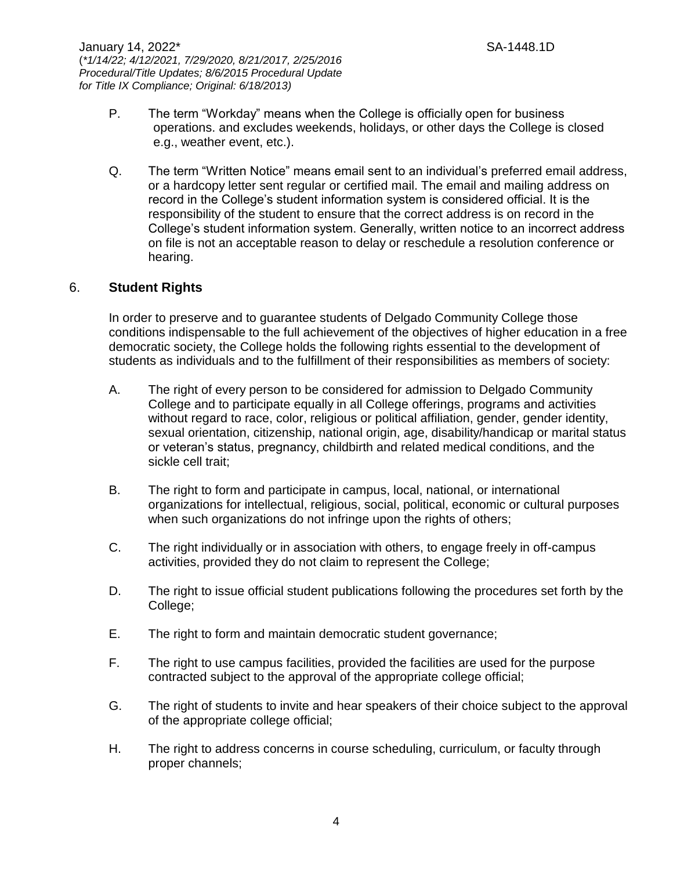- P. The term "Workday" means when the College is officially open for business operations. and excludes weekends, holidays, or other days the College is closed e.g., weather event, etc.).
- Q. The term "Written Notice" means email sent to an individual's preferred email address, or a hardcopy letter sent regular or certified mail. The email and mailing address on record in the College's student information system is considered official. It is the responsibility of the student to ensure that the correct address is on record in the College's student information system. Generally, written notice to an incorrect address on file is not an acceptable reason to delay or reschedule a resolution conference or hearing.

## 6. **Student Rights**

In order to preserve and to guarantee students of Delgado Community College those conditions indispensable to the full achievement of the objectives of higher education in a free democratic society, the College holds the following rights essential to the development of students as individuals and to the fulfillment of their responsibilities as members of society:

- A. The right of every person to be considered for admission to Delgado Community College and to participate equally in all College offerings, programs and activities without regard to race, color, religious or political affiliation, gender, gender identity, sexual orientation, citizenship, national origin, age, disability/handicap or marital status or veteran's status, pregnancy, childbirth and related medical conditions, and the sickle cell trait;
- B. The right to form and participate in campus, local, national, or international organizations for intellectual, religious, social, political, economic or cultural purposes when such organizations do not infringe upon the rights of others;
- C. The right individually or in association with others, to engage freely in off-campus activities, provided they do not claim to represent the College;
- D. The right to issue official student publications following the procedures set forth by the College;
- E. The right to form and maintain democratic student governance;
- F. The right to use campus facilities, provided the facilities are used for the purpose contracted subject to the approval of the appropriate college official;
- G. The right of students to invite and hear speakers of their choice subject to the approval of the appropriate college official;
- H. The right to address concerns in course scheduling, curriculum, or faculty through proper channels;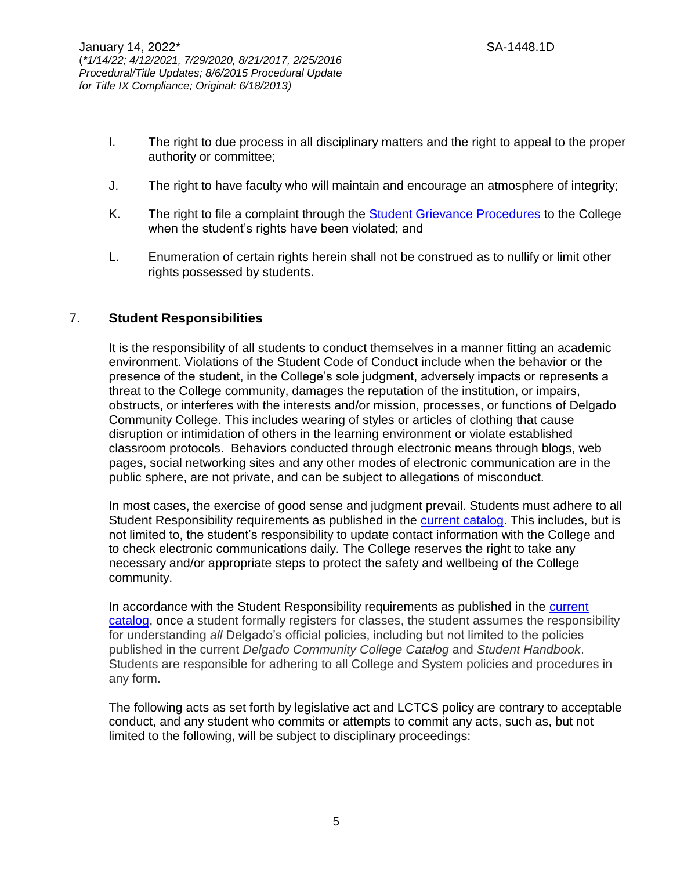- I. The right to due process in all disciplinary matters and the right to appeal to the proper authority or committee;
- J. The right to have faculty who will maintain and encourage an atmosphere of integrity;
- K. The right to file a complaint through the [Student Grievance Procedures](http://www.dcc.edu/student-services/policies/stud-policies/studentgrievanceprocedures.aspx) to the College when the student's rights have been violated; and
- L. Enumeration of certain rights herein shall not be construed as to nullify or limit other rights possessed by students.

#### 7. **Student Responsibilities**

It is the responsibility of all students to conduct themselves in a manner fitting an academic environment. Violations of the Student Code of Conduct include when the behavior or the presence of the student, in the College's sole judgment, adversely impacts or represents a threat to the College community, damages the reputation of the institution, or impairs, obstructs, or interferes with the interests and/or mission, processes, or functions of Delgado Community College. This includes wearing of styles or articles of clothing that cause disruption or intimidation of others in the learning environment or violate established classroom protocols. Behaviors conducted through electronic means through blogs, web pages, social networking sites and any other modes of electronic communication are in the public sphere, are not private, and can be subject to allegations of misconduct.

In most cases, the exercise of good sense and judgment prevail. Students must adhere to all Student Responsibility requirements as published in the [current catalog.](https://www.dcc.edu/catalog/default.aspx) This includes, but is not limited to, the student's responsibility to update contact information with the College and to check electronic communications daily. The College reserves the right to take any necessary and/or appropriate steps to protect the safety and wellbeing of the College community.

In accordance with the Student Responsibility requirements as published in the current [catalog,](https://www.dcc.edu/catalog/default.aspx) once a student formally registers for classes, the student assumes the responsibility for understanding *all* Delgado's official policies, including but not limited to the policies published in the current *Delgado Community College Catalog* and *Student Handbook*. Students are responsible for adhering to all College and System policies and procedures in any form.

The following acts as set forth by legislative act and LCTCS policy are contrary to acceptable conduct, and any student who commits or attempts to commit any acts, such as, but not limited to the following, will be subject to disciplinary proceedings: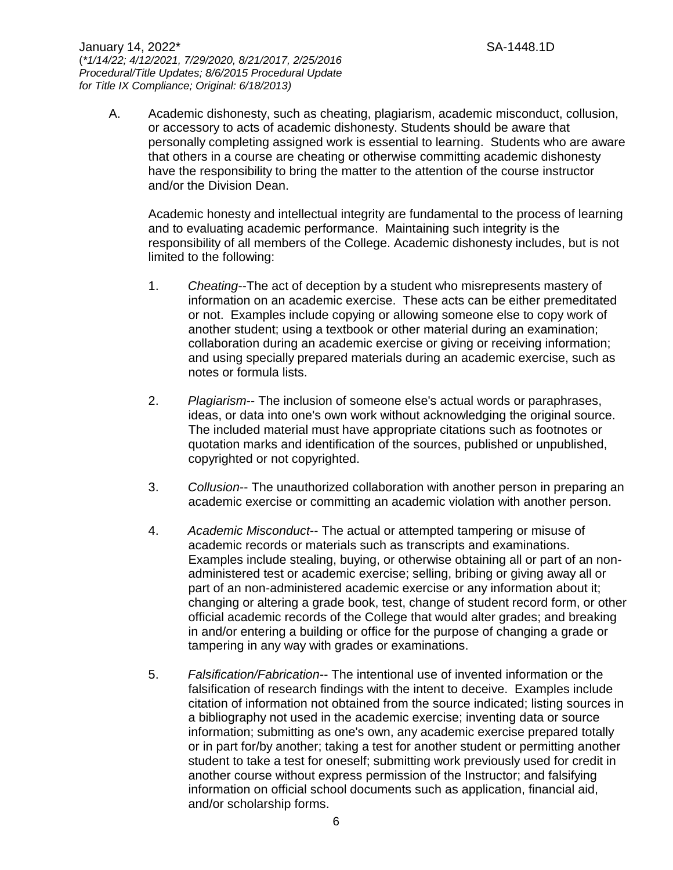January 14, 2022\* SA-1448.1D (*\*1/14/22; 4/12/2021, 7/29/2020, 8/21/2017, 2/25/2016 Procedural/Title Updates; 8/6/2015 Procedural Update for Title IX Compliance; Original: 6/18/2013)*

A. Academic dishonesty, such as cheating, plagiarism, academic misconduct, collusion, or accessory to acts of academic dishonesty. Students should be aware that personally completing assigned work is essential to learning. Students who are aware that others in a course are cheating or otherwise committing academic dishonesty have the responsibility to bring the matter to the attention of the course instructor and/or the Division Dean.

Academic honesty and intellectual integrity are fundamental to the process of learning and to evaluating academic performance. Maintaining such integrity is the responsibility of all members of the College. Academic dishonesty includes, but is not limited to the following:

- 1. *Cheating*--The act of deception by a student who misrepresents mastery of information on an academic exercise. These acts can be either premeditated or not. Examples include copying or allowing someone else to copy work of another student; using a textbook or other material during an examination; collaboration during an academic exercise or giving or receiving information; and using specially prepared materials during an academic exercise, such as notes or formula lists.
- 2. *Plagiarism*-- The inclusion of someone else's actual words or paraphrases, ideas, or data into one's own work without acknowledging the original source. The included material must have appropriate citations such as footnotes or quotation marks and identification of the sources, published or unpublished, copyrighted or not copyrighted.
- 3. *Collusion*-- The unauthorized collaboration with another person in preparing an academic exercise or committing an academic violation with another person.
- 4. *Academic Misconduct*-- The actual or attempted tampering or misuse of academic records or materials such as transcripts and examinations. Examples include stealing, buying, or otherwise obtaining all or part of an nonadministered test or academic exercise; selling, bribing or giving away all or part of an non-administered academic exercise or any information about it; changing or altering a grade book, test, change of student record form, or other official academic records of the College that would alter grades; and breaking in and/or entering a building or office for the purpose of changing a grade or tampering in any way with grades or examinations.
- 5. *Falsification/Fabrication*-- The intentional use of invented information or the falsification of research findings with the intent to deceive. Examples include citation of information not obtained from the source indicated; listing sources in a bibliography not used in the academic exercise; inventing data or source information; submitting as one's own, any academic exercise prepared totally or in part for/by another; taking a test for another student or permitting another student to take a test for oneself; submitting work previously used for credit in another course without express permission of the Instructor; and falsifying information on official school documents such as application, financial aid, and/or scholarship forms.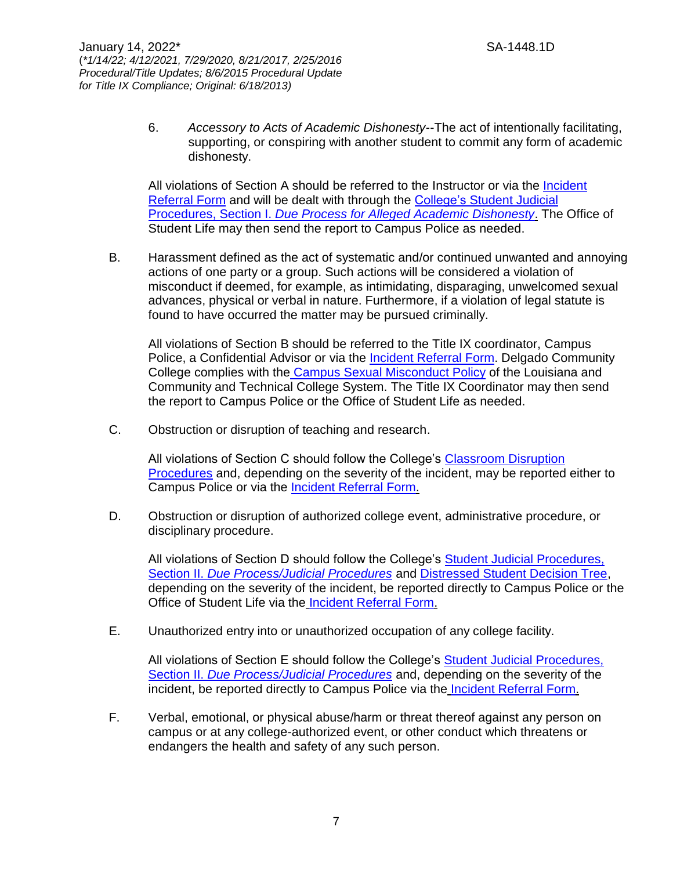6. *Accessory to Acts of Academic Dishonesty*--The act of intentionally facilitating, supporting, or conspiring with another student to commit any form of academic dishonesty.

All violations of Section A should be referred to the Instructor or via the [Incident](https://cm.maxient.com/reportingform.php?LouisianaCTCS&layout_id=5)  [Referral Form](https://cm.maxient.com/reportingform.php?LouisianaCTCS&layout_id=5) and will be dealt with through the [College's Student Judicial](http://docushare3.dcc.edu/docushare/dsweb/Get/Document-4958)  Procedures, Section I. *[Due Process for Alleged](http://docushare3.dcc.edu/docushare/dsweb/Get/Document-4958) Academic Dishonesty*. The Office of Student Life may then send the report to Campus Police as needed.

B. Harassment defined as the act of systematic and/or continued unwanted and annoying actions of one party or a group. Such actions will be considered a violation of misconduct if deemed, for example, as intimidating, disparaging, unwelcomed sexual advances, physical or verbal in nature. Furthermore, if a violation of legal statute is found to have occurred the matter may be pursued criminally.

All violations of Section B should be referred to the Title IX coordinator, Campus Police, a Confidential Advisor or via the [Incident Referral Form.](https://cm.maxient.com/reportingform.php?LouisianaCTCS&layout_id=5) Delgado Community College complies with the [Campus Sexual Misconduct Policy](https://www.dcc.edu/title-ix/default.aspx) of the Louisiana and Community and Technical College System. The Title IX Coordinator may then send the report to Campus Police or the Office of Student Life as needed.

C. Obstruction or disruption of teaching and research.

All violations of Section C should follow the College's [Classroom Disruption](http://docushare3.dcc.edu/docushare/dsweb/Get/Document-3342)  [Procedures](http://docushare3.dcc.edu/docushare/dsweb/Get/Document-3342) and, depending on the severity of the incident, may be reported either to Campus Police or via the [Incident Referral Form.](https://cm.maxient.com/reportingform.php?LouisianaCTCS&layout_id=5)

D. Obstruction or disruption of authorized college event, administrative procedure, or disciplinary procedure.

All violations of Section D should follow the College's [Student Judicial Procedures,](http://docushare3.dcc.edu/docushare/dsweb/Get/Document-4958)  Section II. *[Due Process/Judicial Procedures](http://docushare3.dcc.edu/docushare/dsweb/Get/Document-4958)* and [Distressed Student Decision Tree,](http://docushare3.dcc.edu/docushare/dsweb/Get/Document-8016) depending on the severity of the incident, be reported directly to Campus Police or the Office of Student Life via the [Incident Referral Form.](https://cm.maxient.com/reportingform.php?LouisianaCTCS&layout_id=5)

E. Unauthorized entry into or unauthorized occupation of any college facility.

All violations of Section E should follow the College's [Student Judicial Procedures,](http://docushare3.dcc.edu/docushare/dsweb/Get/Document-4958)  Section II. *[Due Process/Judicial Procedures](http://docushare3.dcc.edu/docushare/dsweb/Get/Document-4958)* and, depending on the severity of the incident, be reported directly to Campus Police via the [Incident Referral Form.](https://cm.maxient.com/reportingform.php?LouisianaCTCS&layout_id=5)

F. Verbal, emotional, or physical abuse/harm or threat thereof against any person on campus or at any college-authorized event, or other conduct which threatens or endangers the health and safety of any such person.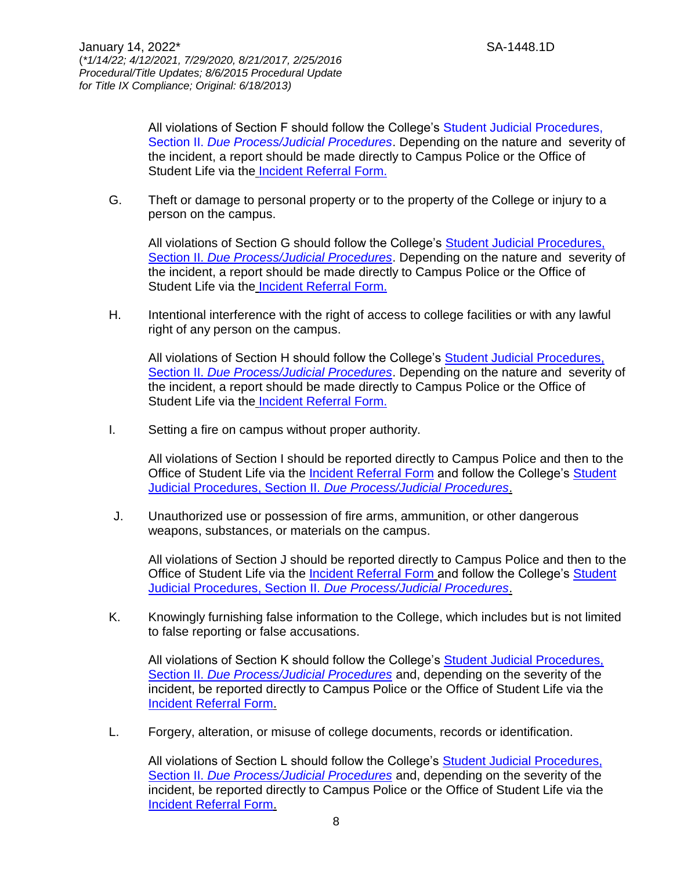All violations of Section F should follow the College's [Student Judicial Procedures,](http://docushare3.dcc.edu/docushare/dsweb/Get/Document-4958)  Section II. *[Due Process/Judicial Procedures](http://docushare3.dcc.edu/docushare/dsweb/Get/Document-4958)*. Depending on the nature and severity of the incident, a report should be made directly to Campus Police or the Office of Student Life via the [Incident Referral Form.](https://cm.maxient.com/reportingform.php?LouisianaCTCS&layout_id=5)

G. Theft or damage to personal property or to the property of the College or injury to a person on the campus.

All violations of Section G should follow the College's [Student Judicial Procedures,](http://docushare3.dcc.edu/docushare/dsweb/Get/Document-4958)  Section II. *[Due Process/Judicial Procedures](http://docushare3.dcc.edu/docushare/dsweb/Get/Document-4958)*. Depending on the nature and severity of the incident, a report should be made directly to Campus Police or the Office of Student Life via the [Incident Referral Form.](https://cm.maxient.com/reportingform.php?LouisianaCTCS&layout_id=5)

H. Intentional interference with the right of access to college facilities or with any lawful right of any person on the campus.

All violations of Section H should follow the College's [Student Judicial Procedures,](http://docushare3.dcc.edu/docushare/dsweb/Get/Document-4958)  Section II. *[Due Process/Judicial Procedures](http://docushare3.dcc.edu/docushare/dsweb/Get/Document-4958)*. Depending on the nature and severity of the incident, a report should be made directly to Campus Police or the Office of Student Life via the [Incident Referral Form.](https://cm.maxient.com/reportingform.php?LouisianaCTCS&layout_id=5)

I. Setting a fire on campus without proper authority.

All violations of Section I should be reported directly to Campus Police and then to the Office of Student Life via the [Incident Referral Form](https://cm.maxient.com/reportingform.php?LouisianaCTCS&layout_id=5) and follow the College's [Student](http://docushare3.dcc.edu/docushare/dsweb/Get/Document-4958)  Judicial Procedures, Section II. *[Due Process/Judicial Procedures](http://docushare3.dcc.edu/docushare/dsweb/Get/Document-4958)*.

J. Unauthorized use or possession of fire arms, ammunition, or other dangerous weapons, substances, or materials on the campus.

All violations of Section J should be reported directly to Campus Police and then to the Office of Student Life via the [Incident Referral Form](https://cm.maxient.com/reportingform.php?LouisianaCTCS&layout_id=5) and follow the College's [Student](http://docushare3.dcc.edu/docushare/dsweb/Get/Document-4958)  Judicial Procedures, Section II. *[Due Process/Judicial Procedures](http://docushare3.dcc.edu/docushare/dsweb/Get/Document-4958)*.

K. Knowingly furnishing false information to the College, which includes but is not limited to false reporting or false accusations.

All violations of Section K should follow the College's [Student Judicial Procedures,](http://docushare3.dcc.edu/docushare/dsweb/Get/Document-4958)  Section II. *[Due Process/Judicial Procedures](http://docushare3.dcc.edu/docushare/dsweb/Get/Document-4958)* and, depending on the severity of the incident, be reported directly to Campus Police or the Office of Student Life via the [Incident Referral Form.](https://cm.maxient.com/reportingform.php?LouisianaCTCS&layout_id=5)

L. Forgery, alteration, or misuse of college documents, records or identification.

All violations of Section L should follow the College's **Student Judicial Procedures**, Section II. *[Due Process/Judicial Procedures](http://docushare3.dcc.edu/docushare/dsweb/Get/Document-4958)* and, depending on the severity of the incident, be reported directly to Campus Police or the Office of Student Life via the [Incident Referral Form.](https://cm.maxient.com/reportingform.php?LouisianaCTCS&layout_id=5)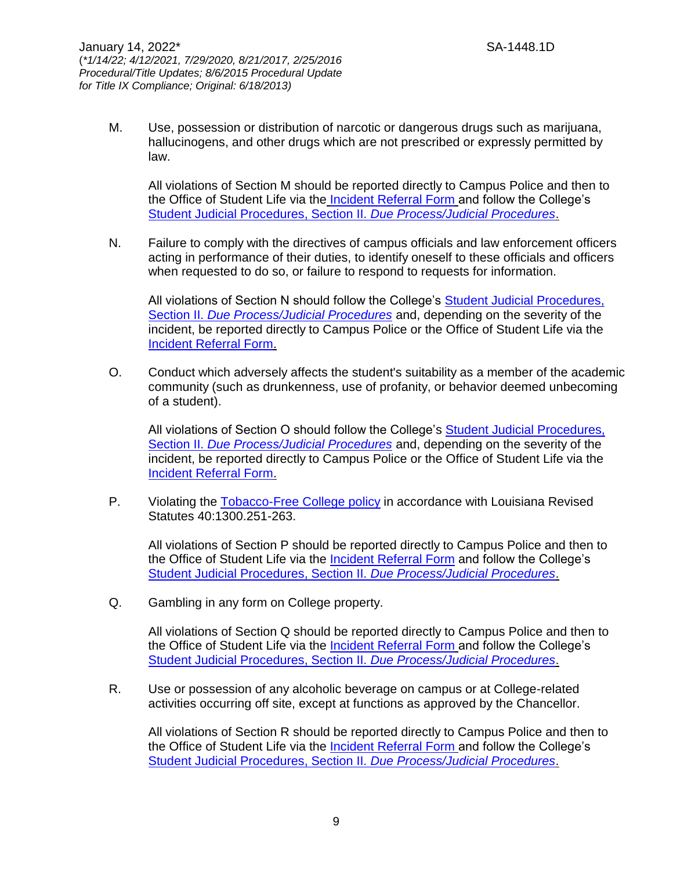M. Use, possession or distribution of narcotic or dangerous drugs such as marijuana, hallucinogens, and other drugs which are not prescribed or expressly permitted by law.

All violations of Section M should be reported directly to Campus Police and then to the Office of Student Life via the [Incident Referral Form](https://cm.maxient.com/reportingform.php?LouisianaCTCS&layout_id=5) and follow the College's [Student Judicial Procedures, Section II.](http://docushare3.dcc.edu/docushare/dsweb/Get/Document-4958) *Due Process/Judicial Procedures*.

N. Failure to comply with the directives of campus officials and law enforcement officers acting in performance of their duties, to identify oneself to these officials and officers when requested to do so, or failure to respond to requests for information.

All violations of Section N should follow the College's [Student Judicial Procedures,](http://docushare3.dcc.edu/docushare/dsweb/Get/Document-4958)  Section II. *[Due Process/Judicial Procedures](http://docushare3.dcc.edu/docushare/dsweb/Get/Document-4958)* and, depending on the severity of the incident, be reported directly to Campus Police or the Office of Student Life via the [Incident Referral Form.](https://cm.maxient.com/reportingform.php?LouisianaCTCS&layout_id=5)

O. Conduct which adversely affects the student's suitability as a member of the academic community (such as drunkenness, use of profanity, or behavior deemed unbecoming of a student).

All violations of Section O should follow the College's [Student Judicial Procedures,](http://docushare3.dcc.edu/docushare/dsweb/Get/Document-4958)  Section II. *[Due Process/Judicial Procedures](http://docushare3.dcc.edu/docushare/dsweb/Get/Document-4958)* and, depending on the severity of the incident, be reported directly to Campus Police or the Office of Student Life via the [Incident Referral Form.](https://cm.maxient.com/reportingform.php?LouisianaCTCS&layout_id=5)

P. Violating the [Tobacco-Free College policy](http://docushare3.dcc.edu/docushare/dsweb/Get/Document-38/) in accordance with Louisiana Revised Statutes 40:1300.251-263.

All violations of Section P should be reported directly to Campus Police and then to the Office of Student Life via the [Incident Referral Form](https://cm.maxient.com/reportingform.php?LouisianaCTCS&layout_id=5) and follow the College's [Student Judicial Procedures, Section II.](http://docushare3.dcc.edu/docushare/dsweb/Get/Document-4958) *Due Process/Judicial Procedures*.

Q. Gambling in any form on College property.

All violations of Section Q should be reported directly to Campus Police and then to the Office of Student Life via the [Incident Referral Form](https://cm.maxient.com/reportingform.php?LouisianaCTCS&layout_id=5) and follow the College's [Student Judicial Procedures, Section II.](http://docushare3.dcc.edu/docushare/dsweb/Get/Document-4958) *Due Process/Judicial Procedures*.

R. Use or possession of any alcoholic beverage on campus or at College-related activities occurring off site, except at functions as approved by the Chancellor.

All violations of Section R should be reported directly to Campus Police and then to the Office of Student Life via the [Incident Referral Form](https://cm.maxient.com/reportingform.php?LouisianaCTCS&layout_id=5) and follow the College's [Student Judicial Procedures, Section II.](http://docushare3.dcc.edu/docushare/dsweb/Get/Document-4958) *Due Process/Judicial Procedures*.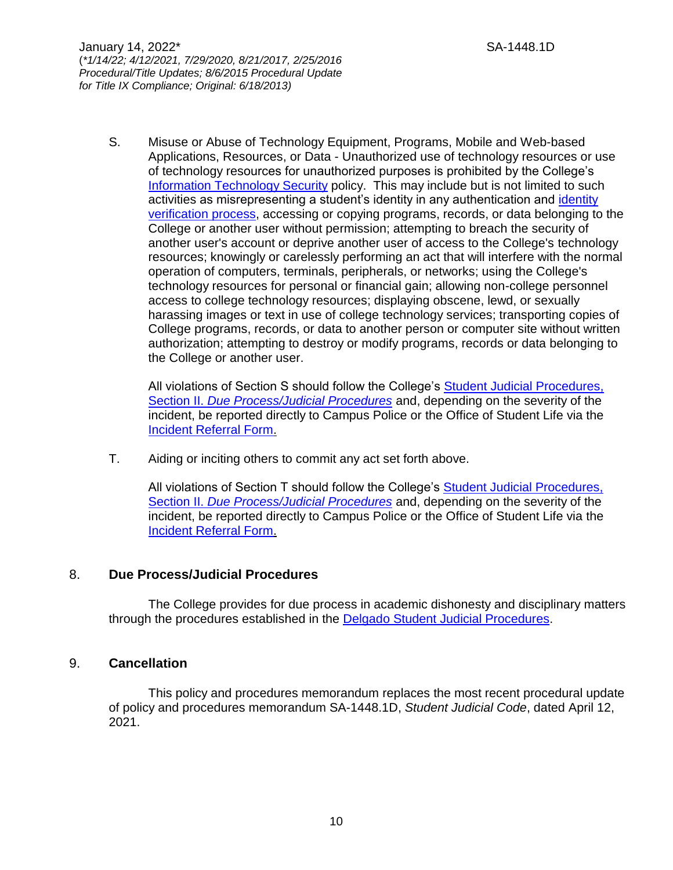S. Misuse or Abuse of Technology Equipment, Programs, Mobile and Web-based Applications, Resources, or Data - Unauthorized use of technology resources or use of technology resources for unauthorized purposes is prohibited by the College's [Information Technology Security](http://docushare3.dcc.edu/docushare/dsweb/Get/Document-2752) policy. This may include but is not limited to such activities as misrepresenting a student's identity in any authentication and [identity](http://docushare3.dcc.edu/docushare/dsweb/Get/Document-5470)  [verification process,](http://docushare3.dcc.edu/docushare/dsweb/Get/Document-5470) accessing or copying programs, records, or data belonging to the College or another user without permission; attempting to breach the security of another user's account or deprive another user of access to the College's technology resources; knowingly or carelessly performing an act that will interfere with the normal operation of computers, terminals, peripherals, or networks; using the College's technology resources for personal or financial gain; allowing non-college personnel access to college technology resources; displaying obscene, lewd, or sexually harassing images or text in use of college technology services; transporting copies of College programs, records, or data to another person or computer site without written authorization; attempting to destroy or modify programs, records or data belonging to the College or another user.

All violations of Section S should follow the College's Student Judicial Procedures, Section II. *[Due Process/Judicial Procedures](http://docushare3.dcc.edu/docushare/dsweb/Get/Document-4958)* and, depending on the severity of the incident, be reported directly to Campus Police or the Office of Student Life via the [Incident Referral Form.](https://cm.maxient.com/reportingform.php?LouisianaCTCS&layout_id=5)

T. Aiding or inciting others to commit any act set forth above.

All violations of Section T should follow the College's [Student Judicial Procedures,](http://docushare3.dcc.edu/docushare/dsweb/Get/Document-4958)  Section II. *[Due Process/Judicial Procedures](http://docushare3.dcc.edu/docushare/dsweb/Get/Document-4958)* and, depending on the severity of the incident, be reported directly to Campus Police or the Office of Student Life via the [Incident Referral Form.](https://cm.maxient.com/reportingform.php?LouisianaCTCS&layout_id=5)

### 8. **Due Process/Judicial Procedures**

The College provides for due process in academic dishonesty and disciplinary matters through the procedures established in the [Delgado Student Judicial Procedures.](http://docushare3.dcc.edu/docushare/dsweb/Get/Document-4958)

### 9. **Cancellation**

This policy and procedures memorandum replaces the most recent procedural update of policy and procedures memorandum SA-1448.1D, *Student Judicial Code*, dated April 12, 2021.